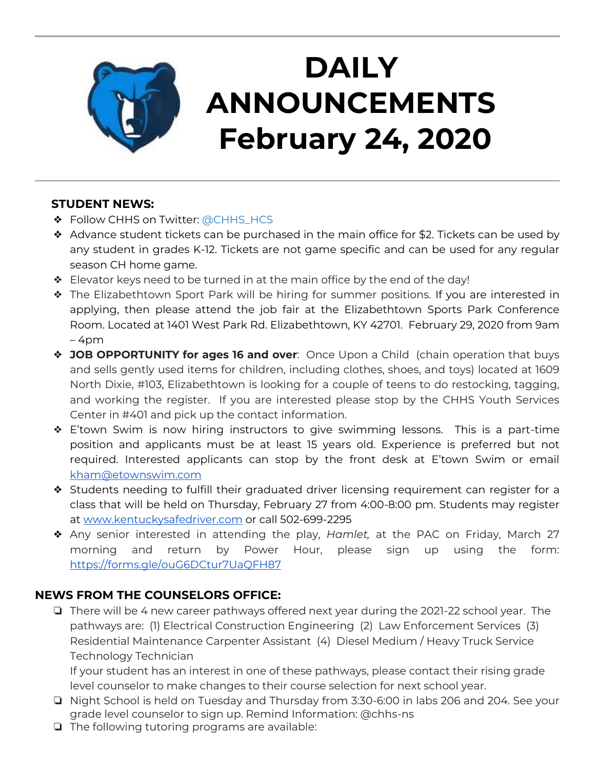

# **DAILY ANNOUNCEMENTS February 24, 2020**

### **STUDENT NEWS:**

- ❖ Follow CHHS on Twitter: [@CHHS\\_HCS](https://twitter.com/CHHS_HCS)
- ❖ Advance student tickets can be purchased in the main office for \$2. Tickets can be used by any student in grades K-12. Tickets are not game specific and can be used for any regular season CH home game.
- ❖ Elevator keys need to be turned in at the main office by the end of the day!
- ❖ The Elizabethtown Sport Park will be hiring for summer positions. If you are interested in applying, then please attend the job fair at the Elizabethtown Sports Park Conference Room. Located at 1401 West Park Rd. Elizabethtown, KY 42701. February 29, 2020 from 9am – 4pm
- ❖ **JOB OPPORTUNITY for ages 16 and over**: Once Upon a Child (chain operation that buys and sells gently used items for children, including clothes, shoes, and toys) located at 1609 North Dixie, #103, Elizabethtown is looking for a couple of teens to do restocking, tagging, and working the register. If you are interested please stop by the CHHS Youth Services Center in #401 and pick up the contact information.
- ❖ E'town Swim is now hiring instructors to give swimming lessons. This is a part-time position and applicants must be at least 15 years old. Experience is preferred but not required. Interested applicants can stop by the front desk at E'town Swim or email [kham@etownswim.com](mailto:kham@etownswim.com)
- ❖ Students needing to fulfill their graduated driver licensing requirement can register for a class that will be held on Thursday, February 27 from 4:00-8:00 pm. Students may register at [www.kentuckysafedriver.com](http://www.kentuckysafedriver.com/) or call 502-699-2295
- ❖ Any senior interested in attending the play, *Hamlet,* at the PAC on Friday, March 27 morning and return by Power Hour, please sign up using the form: <https://forms.gle/ouG6DCtur7UaQFH87>

### **NEWS FROM THE COUNSELORS OFFICE:**

❏ There will be 4 new career pathways offered next year during the 2021-22 school year. The pathways are: (1) Electrical Construction Engineering (2) Law Enforcement Services (3) Residential Maintenance Carpenter Assistant (4) Diesel Medium / Heavy Truck Service Technology Technician

If your student has an interest in one of these pathways, please contact their rising grade level counselor to make changes to their course selection for next school year.

- ❏ Night School is held on Tuesday and Thursday from 3:30-6:00 in labs 206 and 204. See your grade level counselor to sign up. Remind Information: @chhs-ns
- ❏ The following tutoring programs are available: